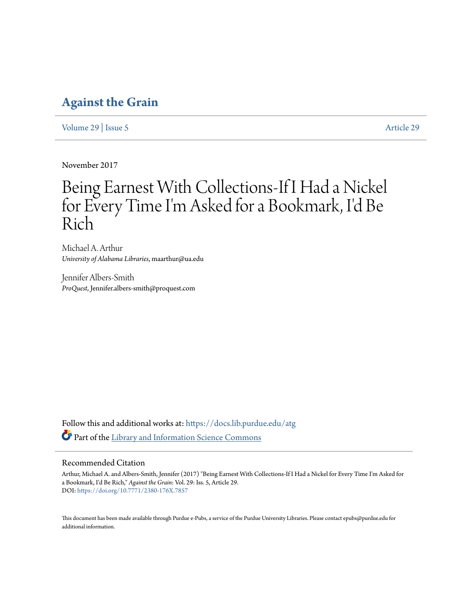## **[Against the Grain](https://docs.lib.purdue.edu/atg?utm_source=docs.lib.purdue.edu%2Fatg%2Fvol29%2Fiss5%2F29&utm_medium=PDF&utm_campaign=PDFCoverPages)**

[Volume 29](https://docs.lib.purdue.edu/atg/vol29?utm_source=docs.lib.purdue.edu%2Fatg%2Fvol29%2Fiss5%2F29&utm_medium=PDF&utm_campaign=PDFCoverPages) | [Issue 5](https://docs.lib.purdue.edu/atg/vol29/iss5?utm_source=docs.lib.purdue.edu%2Fatg%2Fvol29%2Fiss5%2F29&utm_medium=PDF&utm_campaign=PDFCoverPages) [Article 29](https://docs.lib.purdue.edu/atg/vol29/iss5/29?utm_source=docs.lib.purdue.edu%2Fatg%2Fvol29%2Fiss5%2F29&utm_medium=PDF&utm_campaign=PDFCoverPages)

November 2017

# Being Earnest With Collections-If I Had a Nickel for Every Time I'm Asked for a Bookmark, I'd Be Rich

Michael A. Arthur *University of Alabama Libraries*, maarthur@ua.edu

Jennifer Albers-Smith *ProQuest*, Jennifer.albers-smith@proquest.com

Follow this and additional works at: [https://docs.lib.purdue.edu/atg](https://docs.lib.purdue.edu/atg?utm_source=docs.lib.purdue.edu%2Fatg%2Fvol29%2Fiss5%2F29&utm_medium=PDF&utm_campaign=PDFCoverPages) Part of the [Library and Information Science Commons](http://network.bepress.com/hgg/discipline/1018?utm_source=docs.lib.purdue.edu%2Fatg%2Fvol29%2Fiss5%2F29&utm_medium=PDF&utm_campaign=PDFCoverPages)

### Recommended Citation

Arthur, Michael A. and Albers-Smith, Jennifer (2017) "Being Earnest With Collections-If I Had a Nickel for Every Time I'm Asked for a Bookmark, I'd Be Rich," *Against the Grain*: Vol. 29: Iss. 5, Article 29. DOI: <https://doi.org/10.7771/2380-176X.7857>

This document has been made available through Purdue e-Pubs, a service of the Purdue University Libraries. Please contact epubs@purdue.edu for additional information.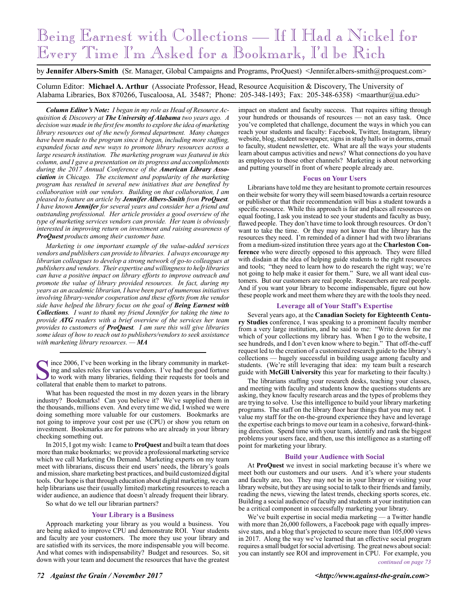# Being Earnest with Collections — If I Had a Nickel for Every Time I'm Asked for a Bookmark, I'd be Rich

by **Jennifer Albers-Smith** (Sr. Manager, Global Campaigns and Programs, ProQuest) <Jennifer.albers-smith@proquest.com>

Column Editor: **Michael A. Arthur** (Associate Professor, Head, Resource Acquisition & Discovery, The University of Alabama Libraries, Box 870266, Tuscaloosa, AL 35487; Phone: 205-348-1493; Fax: 205-348-6358) <maarthur@ua.edu>

*Column Editor's Note: I began in my role as Head of Resource Acquisition & Discovery at The University of Alabama two years ago. A decision was made in the first few months to explore the idea of marketing library resources out of the newly formed department. Many changes have been made to the program since it began, including more staffing, expanded focus and new ways to promote library resources across a large research institution. The marketing program was featured in this column, and I gave a presentation on its progress and accomplishments during the 2017 Annual Conference of the American Library Association in Chicago. The excitement and popularity of the marketing program has resulted in several new initiatives that are benefited by collaboration with our vendors. Building on that collaboration, I am pleased to feature an article by Jennifer Albers-Smith from ProQuest. I have known Jennifer for several years and consider her a friend and outstanding professional. Her article provides a good overview of the type of marketing services vendors can provide. Her team is obviously interested in improving return on investment and raising awareness of ProQuest products among their customer base.* 

*Marketing is one important example of the value-added services vendors and publishers can provide to libraries. I always encourage my librarian colleagues to develop a strong network of go-to colleagues at publishers and vendors. Their expertise and willingness to help libraries can have a positive impact on library efforts to improve outreach and promote the value of library provided resources. In fact, during my years as an academic librarian, I have been part of numerous initiatives involving library-vendor cooperation and these efforts from the vendor side have helped the library focus on the goal of Being Earnest with Collections. I want to thank my friend Jennifer for taking the time to provide ATG readers with a brief overview of the services her team provides to customers of ProQuest. I am sure this will give libraries some ideas of how to reach out to publishers/vendors to seek assistance with marketing library resources. — MA*

Since 2006, I've been working in the library community in market-<br>ing and sales roles for various vendors. I've had the good fortune<br>to work with many libraries, fielding their requests for tools and<br>collateral that enable ing and sales roles for various vendors. I've had the good fortune collateral that enable them to market to patrons.

What has been requested the most in my dozen years in the library industry? Bookmarks! Can you believe it? We've supplied them in the thousands, millions even. And every time we did, I wished we were doing something more valuable for our customers. Bookmarks are not going to improve your cost per use (CPU) or show you return on investment. Bookmarks are for patrons who are already in your library checking something out.

In 2015, I got my wish: I came to **ProQuest** and built a team that does more than make bookmarks; we provide a professional marketing service which we call Marketing On Demand. Marketing experts on my team meet with librarians, discuss their end users' needs, the library's goals and mission, share marketing best practices, and build customized digital tools. Our hope is that through education about digital marketing, we can help librarians use their (usually limited) marketing resources to reach a wider audience, an audience that doesn't already frequent their library.

So what do we tell our librarian partners?

#### **Your Library is a Business**

Approach marketing your library as you would a business. You are being asked to improve CPU and demonstrate ROI. Your students and faculty are your customers. The more they use your library and are satisfied with its services, the more indispensable you will become. And what comes with indispensability? Budget and resources. So, sit down with your team and document the resources that have the greatest

impact on student and faculty success. That requires sifting through your hundreds or thousands of resources — not an easy task. Once you've completed that challenge, document the ways in which you can reach your students and faculty: Facebook, Twitter, Instagram, library website, blog, student newspaper, signs in study halls or in dorms, email to faculty, student newsletter, etc. What are all the ways your students learn about campus activities and news? What connections do you have as employees to those other channels? Marketing is about networking and putting yourself in front of where people already are.

#### **Focus on Your Users**

Librarians have told me they are hesitant to promote certain resources on their website for worry they will seem biased towards a certain resource or publisher or that their recommendation will bias a student towards a specific resource. While this approach is fair and places all resources on equal footing, I ask you instead to see your students and faculty as busy, flawed people. They don't have time to look through resources. Or don't want to take the time. Or they may not know that the library has the resources they need. I'm reminded of a dinner I had with two librarians from a medium-sized institution three years ago at the **Charleston Conference** who were directly opposed to this approach. They were filled with disdain at the idea of helping guide students to the right resources and tools; "they need to learn how to do research the right way; we're not going to help make it easier for them." Sure, we all want ideal customers. But our customers are real people. Researchers are real people. And if you want your library to become indispensable, figure out how these people work and meet them where they are with the tools they need.

#### **Leverage all of Your Staff's Expertise**

Several years ago, at the **Canadian Society for Eighteenth Century Studies** conference, I was speaking to a prominent faculty member from a very large institution, and he said to me: "Write down for me which of your collections my library has. When I go to the website, I see hundreds, and I don't even know where to begin." That off-the-cuff request led to the creation of a customized research guide to the library's collections — hugely successful in building usage among faculty and students. (We're still leveraging that idea: my team built a research guide with **McGill University** this year for marketing to their faculty.)

The librarians staffing your research desks, teaching your classes, and meeting with faculty and students know the questions students are asking, they know faculty research areas and the types of problems they are trying to solve. Use this intelligence to build your library marketing programs. The staff on the library floor hear things that you may not. I value my staff for the on-the-ground experience they have and leverage the expertise each brings to move our team in a cohesive, forward-thinking direction. Spend time with your team, identify and rank the biggest problems your users face, and then, use this intelligence as a starting off point for marketing your library.

#### **Build your Audience with Social**

At **ProQuest** we invest in social marketing because it's where we meet both our customers and our users. And it's where your students and faculty are, too. They may not be in your library or visiting your library website, but they are using social to talk to their friends and family, reading the news, viewing the latest trends, checking sports scores, etc. Building a social audience of faculty and students at your institution can be a critical component in successfully marketing your library.

We've built expertise in social media marketing — a Twitter handle with more than 26,000 followers, a Facebook page with equally impressive stats, and a blog that's projected to secure more than 105,000 views in 2017. Along the way we've learned that an effective social program requires a small budget for social advertising. The great news about social: you can instantly see ROI and improvement in CPU. For example, you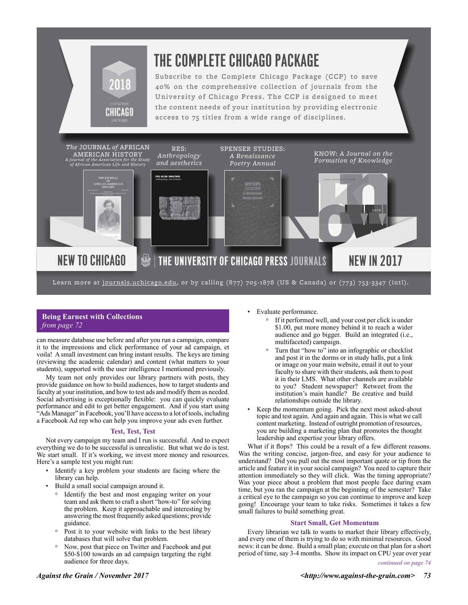

Learn more at <u>journals.uchicago.edu</u>, or by calling (877) 705-1878 (US & Canada) or (773) 753-3347 (intl).

### **Being Earnest with Collections** *from page 72*

can measure database use before and after you run a campaign, compare it to the impressions and click performance of your ad campaign, et voila! A small investment can bring instant results. The keys are timing (reviewing the academic calendar) and content (what matters to your students), supported with the user intelligence I mentioned previously.

My team not only provides our library partners with posts, they provide guidance on how to build audiences, how to target students and faculty at your institution, and how to test ads and modify them as needed. Social advertising is exceptionally flexible: you can quickly evaluate performance and edit to get better engagement. And if you start using "Ads Manager" in Facebook, you'll have access to a lot of tools, including a Facebook Ad rep who can help you improve your ads even further.

#### **Test, Test, Test**

Not every campaign my team and I run is successful. And to expect everything we do to be successful is unrealistic. But what we do is test. We start small. If it's working, we invest more money and resources. Here's a sample test you might run:

- Identify a key problem your students are facing where the library can help.
- Build a small social campaign around it.
	- ° Identify the best and most engaging writer on your team and ask them to craft a short "how-to" for solving the problem. Keep it approachable and interesting by answering the most frequently asked questions; provide guidance.
	- Post it to your website with links to the best library databases that will solve that problem.
	- ° Now, post that piece on Twitter and Facebook and put \$50-\$100 towards an ad campaign targeting the right audience for three days.
- Evaluate performance.
	- ° If it performed well, and your cost per click is under \$1.00, put more money behind it to reach a wider audience and go bigger. Build an integrated (i.e., multifaceted) campaign.
	- Turn that "how to" into an infographic or checklist and post it in the dorms or in study halls, put a link or image on your main website, email it out to your faculty to share with their students, ask them to post it in their LMS. What other channels are available to you? Student newspaper? Retweet from the institution's main handle? Be creative and build relationships outside the library.
- Keep the momentum going. Pick the next most asked-about topic and test again. And again and again. This is what we call content marketing. Instead of outright promotion of resources, you are building a marketing plan that promotes the thought leadership and expertise your library offers.

What if it flops? This could be a result of a few different reasons. Was the writing concise, jargon-free, and easy for your audience to understand? Did you pull out the most important quote or tip from the article and feature it in your social campaign? You need to capture their attention immediately so they will click. Was the timing appropriate? Was your piece about a problem that most people face during exam time, but you ran the campaign at the beginning of the semester? Take a critical eye to the campaign so you can continue to improve and keep going! Encourage your team to take risks. Sometimes it takes a few small failures to build something great.

#### **Start Small, Get Momentum**

Every librarian we talk to wants to market their library effectively, and every one of them is trying to do so with minimal resources. Good news: it can be done. Build a small plan; execute on that plan for a short period of time, say 3-4 months. Show its impact on CPU year over year *continued on page 74*